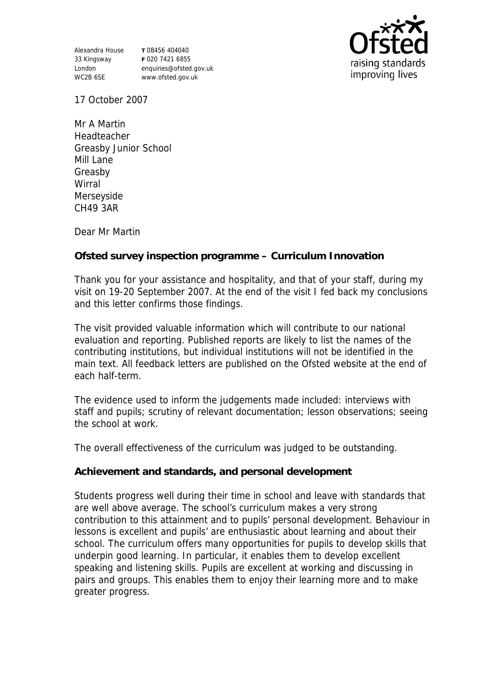Alexandra House **T** 08456 404040 33 Kingsway London WC2B 6SE

**F** 020 7421 6855 enquiries@ofsted.gov.uk www.ofsted.gov.uk



17 October 2007

Mr A Martin Headteacher Greasby Junior School Mill Lane Greasby Wirral Merseyside CH49 3AR

Dear Mr Martin

**Ofsted survey inspection programme – Curriculum Innovation**

Thank you for your assistance and hospitality, and that of your staff, during my visit on 19-20 September 2007. At the end of the visit I fed back my conclusions and this letter confirms those findings.

The visit provided valuable information which will contribute to our national evaluation and reporting. Published reports are likely to list the names of the contributing institutions, but individual institutions will not be identified in the main text. All feedback letters are published on the Ofsted website at the end of each half-term.

The evidence used to inform the judgements made included: interviews with staff and pupils; scrutiny of relevant documentation; lesson observations; seeing the school at work.

The overall effectiveness of the curriculum was judged to be outstanding.

**Achievement and standards, and personal development**

Students progress well during their time in school and leave with standards that are well above average. The school's curriculum makes a very strong contribution to this attainment and to pupils' personal development. Behaviour in lessons is excellent and pupils' are enthusiastic about learning and about their school. The curriculum offers many opportunities for pupils to develop skills that underpin good learning. In particular, it enables them to develop excellent speaking and listening skills. Pupils are excellent at working and discussing in pairs and groups. This enables them to enjoy their learning more and to make greater progress.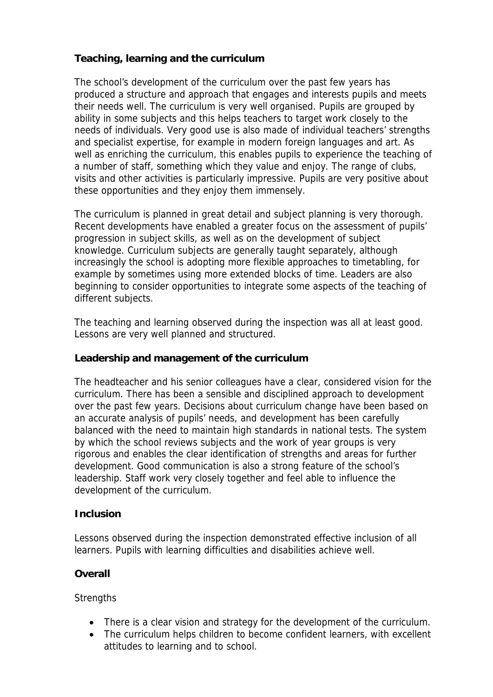**Teaching, learning and the curriculum**

The school's development of the curriculum over the past few years has produced a structure and approach that engages and interests pupils and meets their needs well. The curriculum is very well organised. Pupils are grouped by ability in some subjects and this helps teachers to target work closely to the needs of individuals. Very good use is also made of individual teachers' strengths and specialist expertise, for example in modern foreign languages and art. As well as enriching the curriculum, this enables pupils to experience the teaching of a number of staff, something which they value and enjoy. The range of clubs, visits and other activities is particularly impressive. Pupils are very positive about these opportunities and they enjoy them immensely.

The curriculum is planned in great detail and subject planning is very thorough. Recent developments have enabled a greater focus on the assessment of pupils' progression in subject skills, as well as on the development of subject knowledge. Curriculum subjects are generally taught separately, although increasingly the school is adopting more flexible approaches to timetabling, for example by sometimes using more extended blocks of time. Leaders are also beginning to consider opportunities to integrate some aspects of the teaching of different subjects.

The teaching and learning observed during the inspection was all at least good. Lessons are very well planned and structured.

**Leadership and management of the curriculum**

The headteacher and his senior colleagues have a clear, considered vision for the curriculum. There has been a sensible and disciplined approach to development over the past few years. Decisions about curriculum change have been based on an accurate analysis of pupils' needs, and development has been carefully balanced with the need to maintain high standards in national tests. The system by which the school reviews subjects and the work of year groups is very rigorous and enables the clear identification of strengths and areas for further development. Good communication is also a strong feature of the school's leadership. Staff work very closely together and feel able to influence the development of the curriculum.

## **Inclusion**

Lessons observed during the inspection demonstrated effective inclusion of all learners. Pupils with learning difficulties and disabilities achieve well.

**Overall**

**Strengths** 

- There is a clear vision and strategy for the development of the curriculum.
- The curriculum helps children to become confident learners, with excellent attitudes to learning and to school.